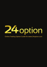

# Online Trading Option Guide for www.24option.com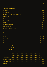# Table Of Contents

|         | Page 3 |
|---------|--------|
|         | Page 3 |
|         | Page 3 |
|         | Page 4 |
|         | Page 4 |
|         | Page 4 |
|         | Page 5 |
|         | Page 5 |
|         | Page 5 |
|         | Page 6 |
|         | Page 6 |
|         | Page 6 |
|         | Page 6 |
|         | Page 7 |
|         | Page 7 |
|         | Page 8 |
| Returns | Page 8 |
|         | Page 8 |
|         | Page 8 |
|         | Page 9 |
|         | Page 9 |
|         | Page 9 |
|         |        |
|         |        |
|         |        |
|         |        |
|         |        |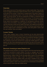# **Overview**

Binary options are one of the easiest ways to make a trade today. They are also known as digital or fixed option trades that offer a return, which is predetermined at the start of the contract. A fixed return in always part of this type of option. At 24 option.com, an expiring contract "in the money" returns 70%, and refunds 0% when "out of the money." So with an investment of \$1000, a customer would make \$700 profit if the contract expired "in the money." For this same contract, an investor would receive \$0 for an expiry that is "out of the money." At this site, binary options are available on a selection of international currencies, stocks, indexes and commodities. Using the graphical interface makes it very easy to use the tools here to execute any trade of this type. Just imagine the excitement of buying a hot item such as precious metals. Purchasing a gold option with a real time market quote is exhilarating, but then, also being able to track it with the user interface. Very cool indeed.

# **Current Trends**

Today, option seekers have a choice. Everything can be done electronically through special websites that have been set up to totally automate this process. There is no need to contact a broker unless circumstances dictated it, possibly a malfunction with the tracking software. Orders are now put through in real time, allowing a quick entry and exit from a particular market segment. Smaller players can see a trend developing and exit before the rest of the world. Profits are maximized because of quick action by the individual who knows when to get out.

#### Electronic Investing at www.24option.com

The website at www.24option.com gives investors all of the tools that they need to become successful at option trading. The easy to navigate user interface allows even a novice to quickly find out information on this topic. The built in learning center, makes it easy for the new speculator to grow in his knowledge without actually having to make a trade. The importance of having a good understanding of how the market works, and what is needed to buy or shell shares is greatly undervalued in many instances. This is not to say an individual has to be an expert in order to be successful, but it is necessary to at least know what to look for when there are market trends.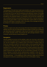# **Registration**

The designers of this site have made it quite simple to use. To set up a new account, all it takes is filling out the registration form conveniently provided on the home page. A mouse click on the new user link will bring up the electronic version of this page that needs to be filled out, and then a confirmation email will be sent to the address provided by the potential investor. It is important to fill out the form truthfully and use a working email that is accessed frequently. Even then, it may be necessary to check out the spam folder in case the provider filters content a little too stringently. Once the confirmation is received, a link in the body of the message will need to be clicked on in order to activate the account.

### **Privacy**

There is no need to worry about this private information being leaked or stolen. This website uses SSL (secure socket layer) 128 bit encryption to protect the confidential user data being used for registration. It also has an encryption certificate supplied by a trusted 3rd party vendor, that ensures the safe passage between a users computer, and the servers at www.24option.com.

# **Navigation**

Having created an account at this website, users can now log in and access some of the other great features, including the learning center. Here new clients can use the navigation bar to explore some of the items of interest. Many of these are necessary to perform successful trades, so be acquainted with them is essential to make the best use of the tools that are here as well. A great example of this is under the Trading submenu. Fourteen questions are present, all designed to save a new trader some time. The bulk of these FAQ's (frequently asked questions) are specifically set up for information purposes. Of course, there is always a customer service representative available to help with other queries. This can be done through live chat on the computer, or by calling the old-fashioned way -- on the telephone. Either method is viable, and the choice will depend on what the customer feels the most comfortable in doing.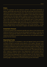# s'FAQ

All of the questions on this particular submenu are related specifically to options, specifically what they are, how they are purchase and the amount of capital that must be spent to obtain them. Most investors will need to know this information before the expenditure is completed. A savvy player will completely comprehend this information before making a move in a market trend. Major profits are there for the taking if a capable speculator knows what he is doing. That is why a novice must read and comprehend each of these questions before even attempting to make a purchase. Of course, anything that is still a bit hazy should be clarified. Again, this can be done by contacting the customer service representatives at www.24option.com. This is their business -- to help investors make money. If that doesn't happen, the website would soon close.

#### **Investment Amount**

A common question that neophytes typically worry about, is the minimum and the invested in any option. At this site, the maximum amount of money that can be invested in any option. At this site, the minimum is \$25 and the maximum is \$250. This is for a single option only. A maximum of \$2000 is the limit for open positions (i.e. the total value of all open position for the investor).

### **Depositing Funds**

Once the registration is completed, a user can deposit funds once he feels confident enough to purchase some options in the market. Although it isn't necessary to place any money into the account at the time of registration, there is a place to indicate the type of currency that will be used for trading. This is a crucial element of the entire process. It cannot be changed once entered, so it should be the standard for the investors home country. This particular site only offer 3 options to deposit money: Visa, Mastercard or bank transfer. Each of these quarantees that the cash is coming from the users personal account. All other types are disallowed due to various reasons, so the choice is easy, although limited. There is a full page explaining some of the other details on the banking page. A simple click on the link will bring up this information.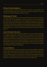#### **Minimum Starting Balance**

A starting balance of \$100 is required for any investor to start trading. Once this amount is deposited into the account and verified, individuals can start to monitor the market and select an option to trade.

#### **Withdrawal of Funds**

The withdrawal process is almost as simple. While there is no minimum amount of money that can be withdrawn at one time, there is only one transaction per month that is commission free. Any additional ones carry a \$30 charge assessed at the time of the request. Users should be careful when asking for the transfer of funds back to their account to avoid these types of extra fees. The withdrawal process can be canceled if the request has not been processed by www.24 option.com. The money would then be returned to the account holders. .balance

#### **User Information Recovery**

There are occasions when the personal data of an account may be misplaced, or something happens to make the account vulnerable. This can be easily corrected by logging into the website, accessing the user home page and clicking on the "my account" tab. It is here that investors can change any of their personal data such as user password or address. A username that is forgotten takes a little more work, but it can be obtained by phone or email. It must match the address provided at registration time however, so that information should be recorded and stored in a safe place.

### **Account Balance**

Another great feature is the account balance section that is available to registered users. It can be easily seen by clicking on the my account tab at the top of the home page, once a person logs into the website. Here all of the activity can be seen, along with the current amount of funds that are available for option purchase or withdrawal to the bank account. This is handy when evaluating whether or not to take some new action in a current market trend.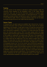## **Trading**

The main section of the website is devoted to trading purposes. Under the Learning Center Heading on the Navigation menu, is the Trader Manual subsection. Here, user can find the information required to complete trades online via the proprietary trading window at www.option24.com. It is highly advisable to locate and learn the definitions used in this system in order to be a more effective trader. There is a separate glossary page that can be easily accessed through the link on the Trader Manual subsection.

### **Option Types**

At 24 option com, six option types are available: high, inbound, low, no touch, outbound and touch. Each of these can be the right choice for an investor depending on the situation. A high option is part of a high/low instrument that offers a 70% return if the asset expires at a higher level than the target price, and a 15% refund is expiration of the asset is at a lower level than the target price, the inbound option returns 70% if the asset expires within the range between upper and lower target values (i.e. inbound), and a 15% refund is outside of this range (i.e. outbound). Low options give 70% return if the expiration of the asset is lower than the option target and 15% refund if the asset expires at a higher level that the target price. No touch options usually have a 70% return if the asset does not reach the target price as long as the option hasn't expired. If at any time during the life of the option, the target price is reached, it immediately reverts to an "out of the money" and a 15% refund is granted on the initial investment. With outbound options, 70% of the investment is returned if the asset expires outside of the boundary formed by the high and low target values (i.e. outbound). If the options expires within the range, a refund of 15% is awarded. Finally, touch options offer a 70% return if the asset reaches the target price anytime during its valid lifetime. This immediately forces an "in the money" settlement the the option automatically expires. If the target price is never reached before expiration, a 15% refund is given to the investor.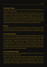## **Instrument Types**

On the Trader menu, there are 3 types of instruments being offered: High/Low, One Touch and Boundary.

A High/Low uses the current market price at the outset with the outcome dependent upon the expiry level relative to the target at the expiry time. One Touch on the other hand uses the target price initially, and the final result depends upon the market price reaching or not reaching the target price prior to the expiration of the option. The final instrument type; Boundary is formulated around a dual target price (high and low target) to form a range of values. The result depends on the market price relative to the boundary at expiration.

#### Returns

All options return a fixed percentage level, that is based upon the initial investment of the client. In the money expiration results in a 70% profit, out of the money refunds 15%, and at the money is a full return of investment capital.

#### In the Money Expiry

For an "in the money" expiry, the option purchase is profitable at the current time. If this is the case at expiration, the client will realize a profit. For each of the following instruments, this will hold true if the proper conditions are met. High/ Low: high option - expiry level is above target price, low option - expiry level is below target price. One Touch: touch - market price reaches target before expiry date. No-touch - market price does not meet target before expiry time. Boundary: inbound - expiry level within boundary range, outbound - expiry level is outside the boundary. If and when the conditions are met for the appropriate option, the customer is then in profit modes.

### Out of the Money Expiry

This indicates that an option is not profitable at this time. This lead to a loss if the following conditions hold true:

High/Low: high - expiry level below target, low - expiry level above target. One Touch - touch - market price does not reach target before expiration, no-touch - market price reach target before expiry. Boundary: inbound - expiry level is outside the boundary, outbound - expiry level inside boundary. Like the In the Money Expiry, if these conditions are met, then a loss is realized for the client.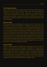# At the Money Expiry

This indicates that the option is being traded at the exact same level as the target price. A full return of investment is made to the investor if the following conditions hold true: High/Low: high - expiry level is at target price, low - expiry level is at target price. Boundary: inbound - expiry level is at high or low boundary, outbound - expiry level is at high or low boundary. Any trades meeting these conditions will result in a full return of funds to the client at the time of expiration.

#### **Ease of Trade**

The graphical interface at 24option.com was set up with the novice and mid-<br>level trader in mind. Once registration is complete, a user simply has to log in and access his account. From there, a user friendly interface has all of the current information about the market set up in a graphic format, enabling trades to be set up quickly without the need to call a broker in order to execute this process. Entering and exiting the market happens in real time, without the delay commonly caused by the waiting for humans to complete the fine details. At 24 option com, there is no need to wait when proposing a trade. Simply click on the desired option, set up the instrument type and execute. As an added touch, there is always a window showing the current value if a trade were to be exited at that very moment. This indicates how well the designers set up this site for speculators to make trades quickly and easily.

#### How to Trade

There is a trading window at 24 option.com, that opens up on the screen by clicking on the trade tab at the homepage. It is divided into 3 major sections: Options, Trading Slip, and My Open Trades. The window is composed of easy to read graphics that show at a glance a number of features, including the different values of currency for selected countries and the target/market price for a specified option. It just takes a few simple mouse clicks to access all of the important data regarding a prospective option. Users will marvel at the simplicity of this model and be thankful for its perfect timing.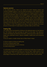## **Options section**

In the Options section, there is an options list which displays assets and currently available options. It can be sorted according to user preference with an assorted array of filters to sort based upon such things as specific markets, symbols and expiration date. It can be toggled on or off to display a column of the options that are available at this time. In addition, there are also individual options that can be displayed. Among these are asset symbol, target price, boundary range, % return on investment, available options, and remaining buy time. Users are also able to select the correct instrument type for this trade by clicking on the instrument tab on the menu. These menus were set up with the new investor in mind. The graphics are easy to read and display the correct amount of information for speculators to quickly make up their minds.

# **Trading Slip**

The Trading Slip is accessed by clicking on the selected option on the Options list. The investor can then purchase an option for this asset. This electronic window will display the following information; asset long name, date and time, target price, potential % return, options available, market price and remaining buy time.

To buy an option, a trader simply has to follow these 4 steps:

- 1). Click on option to bring up trading slip.
- 2). Click on desired option type
- 3). Put the investment amount in the box
- 4). Click on Buy button

A confirmation should result, capable of producing a hard copy. An option has now been purchased and will show up in the My Open Trades section of the trading window. This is a great feature at 24 option.com that users can take advantage of whenever they need a quick glimpse of their current portfolio.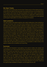# **My Open Trades**

To the right of the trading slip is the My Open Trades section of the trading window. It shows all of the options that have been purchased and have not yet expired. Each of the options will contain the following detailed information: option symbol (and type of instrument), name of asset, invested amount, target price, market price and expiry time. By making trading easier, the designers of 24 option.com have opened up this type of speculation to a whole new group of investors.

# **Open positions**

The open positions are easily located by color coded market prices. Green indicates an option "in the money", red is "out of the money" and blue is "at the money. Once familiar with these colors, investors are able to identify at a glance what parts of their portfolio are performing well and which ones need to be re-evaluated. There is the possibility to close out an option before the expiration date - irregardless of being in or out of the money at the current time. The price to perform this action is continually display in a small black box located in the middle of the My Portfolio window. The main page uses an easy to navigate user menu and the Trading Windows shows all of the hecessary information for a trader to make an informed decision. After becoming familiar with the terminology used by the website, a speculator has the ability to make a profit on an option. This does not mean that all trades will result in a profit mode, and proper due diligence should be performed before entering into any market. With the right training and experience, it is possible to make money in the options market, but it is certainly not a sure thing.

#### **Summary**

If you are at all interested in speculating in the options market, then please visit www.24 option.com. They have all of the tools necessary to enter this most lucrative field. Even novices are welcome, since the learning center simplifies the learning curve, making even the most hesitant speculators feel good about buying an option. There is no quesswork on any trades, with the expiration price available at all times in the My Trades window. Why don't you go to www.24option.com right now and get a feel for this industry. Signup is free and only takes a valid source of payment. You don't have to risk anything until you feel confident about investing your money. It may be one of the best decisions of your life. Check out the opportunities available at 24 option, you'll be glad that you did.